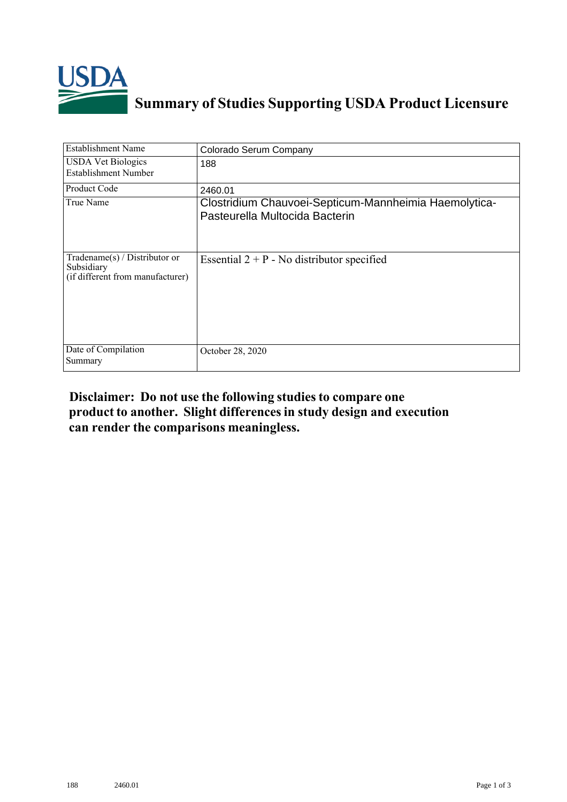

## **Summary of Studies Supporting USDA Product Licensure**

| <b>Establishment Name</b>                                                         | Colorado Serum Company                                                                  |
|-----------------------------------------------------------------------------------|-----------------------------------------------------------------------------------------|
| <b>USDA Vet Biologics</b><br><b>Establishment Number</b>                          | 188                                                                                     |
| Product Code                                                                      | 2460.01                                                                                 |
| True Name                                                                         | Clostridium Chauvoei-Septicum-Mannheimia Haemolytica-<br>Pasteurella Multocida Bacterin |
| $Tradename(s) / Distributor$ or<br>Subsidiary<br>(if different from manufacturer) | Essential $2 + P$ - No distributor specified                                            |
| Date of Compilation<br>Summary                                                    | October 28, 2020                                                                        |

## **Disclaimer: Do not use the following studiesto compare one product to another. Slight differencesin study design and execution can render the comparisons meaningless.**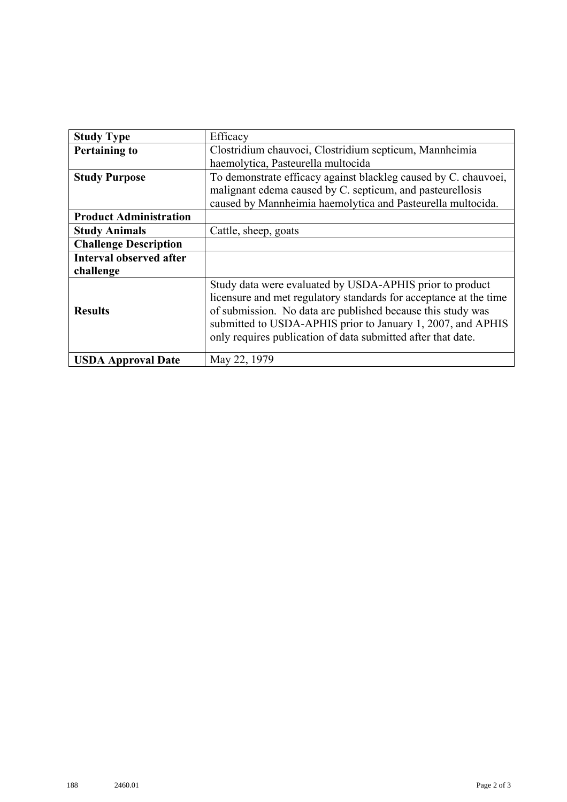| <b>Study Type</b>              | Efficacy                                                                                                                                                                                                                                                                                                                    |
|--------------------------------|-----------------------------------------------------------------------------------------------------------------------------------------------------------------------------------------------------------------------------------------------------------------------------------------------------------------------------|
| <b>Pertaining to</b>           | Clostridium chauvoei, Clostridium septicum, Mannheimia                                                                                                                                                                                                                                                                      |
|                                | haemolytica, Pasteurella multocida                                                                                                                                                                                                                                                                                          |
| <b>Study Purpose</b>           | To demonstrate efficacy against blackleg caused by C. chauvoei,                                                                                                                                                                                                                                                             |
|                                | malignant edema caused by C. septicum, and pasteurellosis                                                                                                                                                                                                                                                                   |
|                                | caused by Mannheimia haemolytica and Pasteurella multocida.                                                                                                                                                                                                                                                                 |
| <b>Product Administration</b>  |                                                                                                                                                                                                                                                                                                                             |
| <b>Study Animals</b>           | Cattle, sheep, goats                                                                                                                                                                                                                                                                                                        |
| <b>Challenge Description</b>   |                                                                                                                                                                                                                                                                                                                             |
| <b>Interval observed after</b> |                                                                                                                                                                                                                                                                                                                             |
| challenge                      |                                                                                                                                                                                                                                                                                                                             |
| <b>Results</b>                 | Study data were evaluated by USDA-APHIS prior to product<br>licensure and met regulatory standards for acceptance at the time<br>of submission. No data are published because this study was<br>submitted to USDA-APHIS prior to January 1, 2007, and APHIS<br>only requires publication of data submitted after that date. |
| <b>USDA Approval Date</b>      | May 22, 1979                                                                                                                                                                                                                                                                                                                |